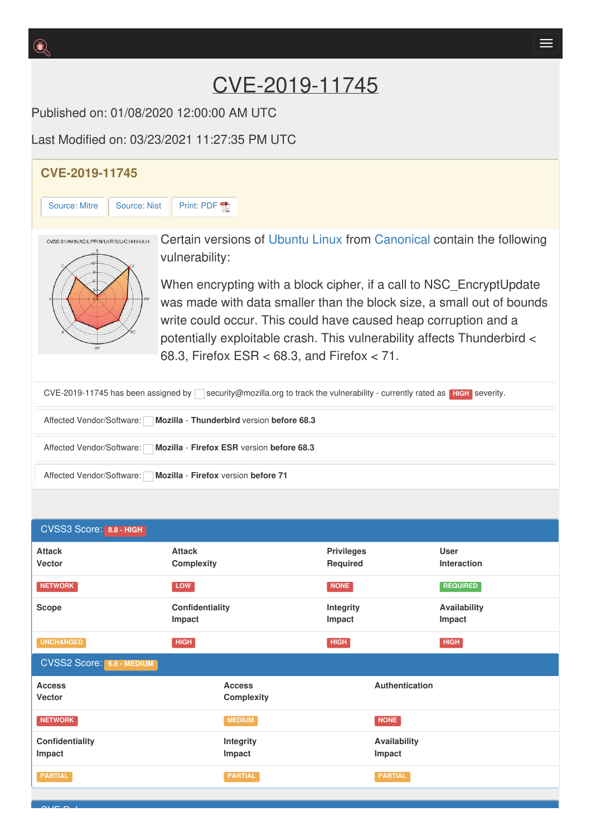# CVE-2019-11745

Published on: 01/08/2020 12:00:00 AM UTC

Last Modified on: 03/23/2021 11:27:35 PM UTC

# **CVE-2019-11745** [Source:](https://cve.report/CVE-2019-11745/nist) Mitre | Source: Nist | [Print:](https://cve.report/CVE-2019-11745.pdf) PDF Certain versions of [Ubuntu](http://cve.report/software/canonical/ubuntu_linux) Linux from [Canonical](http://cve.report/vendor/canonical) contain the following CVSS:31/AV:N/AC:L/PR:N/UI:R/S:U/C:H/I:H/A:H vulnerability: When encrypting with a block cipher, if a call to NSC\_EncryptUpdate was made with data smaller than the block size, a small out of bounds write could occur. This could have caused heap corruption and a potentially exploitable crash. This vulnerability affects Thunderbird < 68.3, Firefox ESR < 68.3, and Firefox < 71. CVE-2019-11745 has been assigned by security@mozilla.org to track the vulnerability - currently rated as **HIGH** severity. Affected Vendor/Software: **Mozilla** - **Thunderbird** version **before 68.3** Affected Vendor/Software: **Mozilla** - **Firefox ESR** version **before 68.3**

| Affected Vendor/Software: | <b>Mozilla - Firefox version before 71</b> |  |  |
|---------------------------|--------------------------------------------|--|--|
|                           |                                            |  |  |

 $\sum_{i=1}^{n}$ 

#### CVSS3 Score: **8.8 - HIGH Attack Vector Attack Complexity Privileges Required User Interaction NETWORK LOW NONE REQUIRED Scope Confidentiality Impact Integrity Impact Availability Impact UNCHANGED HIGH HIGH HIGH** CVSS2 Score: **6.8 - MEDIUM Access Vecto[r](http://cve.report/glossary/cvss-2-score-details/) Access Complexity Authentication NETWORK NEDIUM MEDIUM MEDIUM MEDIUM MEDIUM Confidentiality Impact Integrity Impact Availability Impact PARTIAL PARTIAL PARTIAL**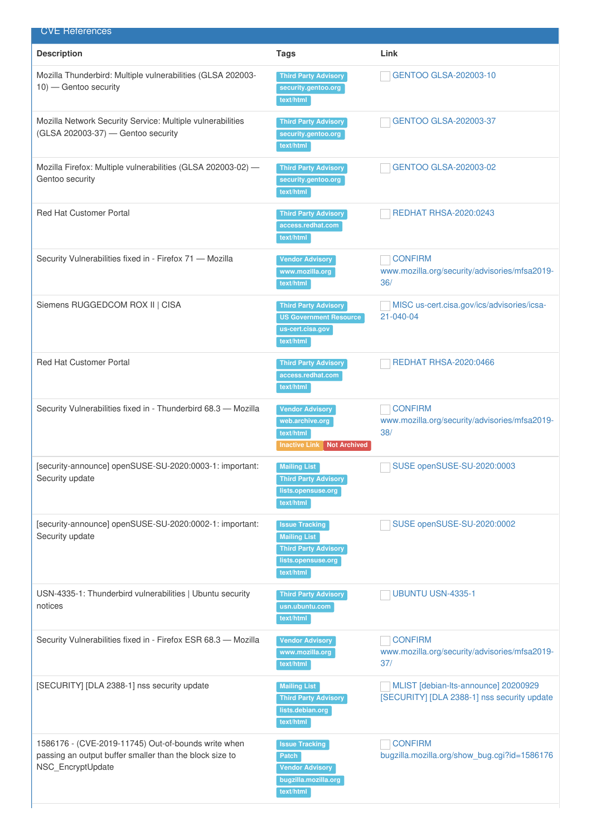| <b>CVE References</b>                                                                                                               |                                                                                                                |                                                                                     |
|-------------------------------------------------------------------------------------------------------------------------------------|----------------------------------------------------------------------------------------------------------------|-------------------------------------------------------------------------------------|
| <b>Description</b>                                                                                                                  | <b>Tags</b>                                                                                                    | Link                                                                                |
| Mozilla Thunderbird: Multiple vulnerabilities (GLSA 202003-<br>10) — Gentoo security                                                | <b>Third Party Advisory</b><br>security.gentoo.org<br>text/html                                                | GENTOO GLSA-202003-10                                                               |
| Mozilla Network Security Service: Multiple vulnerabilities<br>(GLSA 202003-37) - Gentoo security                                    | <b>Third Party Advisory</b><br>security.gentoo.org<br>text/html                                                | GENTOO GLSA-202003-37                                                               |
| Mozilla Firefox: Multiple vulnerabilities (GLSA 202003-02) -<br>Gentoo security                                                     | <b>Third Party Advisory</b><br>security.gentoo.org<br>text/html                                                | GENTOO GLSA-202003-02                                                               |
| <b>Red Hat Customer Portal</b>                                                                                                      | <b>Third Party Advisory</b><br>access.redhat.com<br>text/html                                                  | <b>REDHAT RHSA-2020:0243</b>                                                        |
| Security Vulnerabilities fixed in - Firefox 71 - Mozilla                                                                            | <b>Vendor Advisory</b><br>www.mozilla.org<br>text/html                                                         | <b>CONFIRM</b><br>www.mozilla.org/security/advisories/mfsa2019-<br>36/              |
| Siemens RUGGEDCOM ROX II   CISA                                                                                                     | <b>Third Party Advisory</b><br><b>US Government Resource</b><br>us-cert.cisa.gov<br>text/html                  | MISC us-cert.cisa.gov/ics/advisories/icsa-<br>21-040-04                             |
| <b>Red Hat Customer Portal</b>                                                                                                      | <b>Third Party Advisory</b><br>access.redhat.com<br>text/html                                                  | <b>REDHAT RHSA-2020:0466</b>                                                        |
| Security Vulnerabilities fixed in - Thunderbird 68.3 - Mozilla                                                                      | <b>Vendor Advisory</b><br>web.archive.org<br>text/html<br><b>Inactive Link</b><br>Not Archived                 | <b>CONFIRM</b><br>www.mozilla.org/security/advisories/mfsa2019-<br>38/              |
| [security-announce] openSUSE-SU-2020:0003-1: important:<br>Security update                                                          | <b>Mailing List</b><br><b>Third Party Advisory</b><br>lists.opensuse.org<br>text/html                          | SUSE openSUSE-SU-2020:0003                                                          |
| [security-announce] openSUSE-SU-2020:0002-1: important:<br>Security update                                                          | <b>Issue Tracking</b><br><b>Mailing List</b><br><b>Third Party Advisory</b><br>lists.opensuse.org<br>text/html | SUSE openSUSE-SU-2020:0002                                                          |
| USN-4335-1: Thunderbird vulnerabilities   Ubuntu security<br>notices                                                                | <b>Third Party Advisory</b><br>usn.ubuntu.com<br>text/html                                                     | UBUNTU USN-4335-1                                                                   |
| Security Vulnerabilities fixed in - Firefox ESR 68.3 - Mozilla                                                                      | <b>Vendor Advisory</b><br>www.mozilla.org<br>text/html                                                         | <b>CONFIRM</b><br>www.mozilla.org/security/advisories/mfsa2019-<br>37/              |
| [SECURITY] [DLA 2388-1] nss security update                                                                                         | <b>Mailing List</b><br><b>Third Party Advisory</b><br>lists.debian.org<br>text/html                            | MLIST [debian-lts-announce] 20200929<br>[SECURITY] [DLA 2388-1] nss security update |
| 1586176 - (CVE-2019-11745) Out-of-bounds write when<br>passing an output buffer smaller than the block size to<br>NSC_EncryptUpdate | <b>Issue Tracking</b><br><b>Patch</b><br><b>Vendor Advisory</b><br>bugzilla.mozilla.org<br>text/html           | <b>CONFIRM</b><br>bugzilla.mozilla.org/show_bug.cgi?id=1586176                      |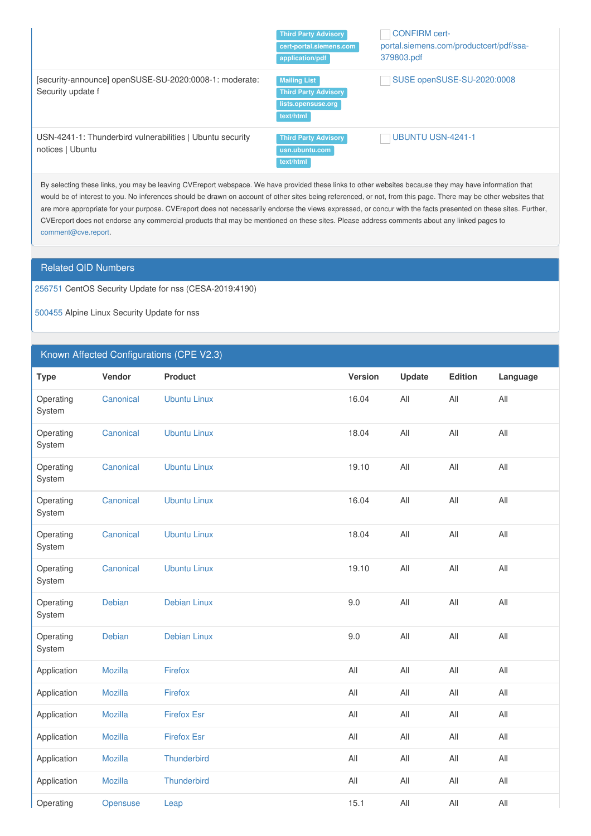|                                                                               | <b>Third Party Advisory</b><br>cert-portal.siemens.com<br>application/pdf             | <b>CONFIRM cert-</b><br>portal.siemens.com/productcert/pdf/ssa-<br>379803.pdf |
|-------------------------------------------------------------------------------|---------------------------------------------------------------------------------------|-------------------------------------------------------------------------------|
| [security-announce] openSUSE-SU-2020:0008-1: moderate:<br>Security update f   | <b>Mailing List</b><br><b>Third Party Advisory</b><br>lists.opensuse.org<br>text/html | SUSE openSUSE-SU-2020:0008                                                    |
| USN-4241-1: Thunderbird vulnerabilities   Ubuntu security<br>notices   Ubuntu | <b>Third Party Advisory</b><br>usn.ubuntu.com<br>text/html                            | <b>UBUNTU USN-4241-1</b>                                                      |

By selecting these links, you may be leaving CVEreport webspace. We have provided these links to other websites because they may have information that would be of interest to you. No inferences should be drawn on account of other sites being referenced, or not, from this page. There may be other websites that are more appropriate for your purpose. CVEreport does not necessarily endorse the views expressed, or concur with the facts presented on these sites. Further, CVEreport does not endorse any commercial products that may be mentioned on these sites. Please address comments about any linked pages to [comment@cve.report](mailto:%20comment@cve.report).

### Related QID Numbers

[256751](http://cve.report/qid/256751) CentOS Security Update for nss (CESA-2019:4190)

[500455](http://cve.report/qid/500455) Alpine Linux Security Update for nss

### Known Affected Configurations (CPE V2.3)

| <b>Type</b>         | Vendor         | <b>Product</b>      | <b>Version</b> | Update | Edition | Language |
|---------------------|----------------|---------------------|----------------|--------|---------|----------|
| Operating<br>System | Canonical      | <b>Ubuntu Linux</b> | 16.04          | All    | All     | All      |
| Operating<br>System | Canonical      | <b>Ubuntu Linux</b> | 18.04          | All    | All     | All      |
| Operating<br>System | Canonical      | <b>Ubuntu Linux</b> | 19.10          | All    | All     | All      |
| Operating<br>System | Canonical      | <b>Ubuntu Linux</b> | 16.04          | All    | All     | All      |
| Operating<br>System | Canonical      | <b>Ubuntu Linux</b> | 18.04          | All    | All     | All      |
| Operating<br>System | Canonical      | <b>Ubuntu Linux</b> | 19.10          | All    | All     | All      |
| Operating<br>System | Debian         | <b>Debian Linux</b> | 9.0            | All    | All     | All      |
| Operating<br>System | Debian         | <b>Debian Linux</b> | 9.0            | All    | All     | All      |
| Application         | <b>Mozilla</b> | Firefox             | All            | All    | All     | All      |
| Application         | Mozilla        | Firefox             | All            | All    | All     | All      |
| Application         | <b>Mozilla</b> | <b>Firefox Esr</b>  | All            | All    | All     | All      |
| Application         | <b>Mozilla</b> | <b>Firefox Esr</b>  | All            | All    | All     | All      |
| Application         | <b>Mozilla</b> | Thunderbird         | All            | All    | All     | All      |
| Application         | <b>Mozilla</b> | Thunderbird         | All            | All    | All     | All      |
| Operating           | Opensuse       | Leap                | 15.1           | All    | All     | All      |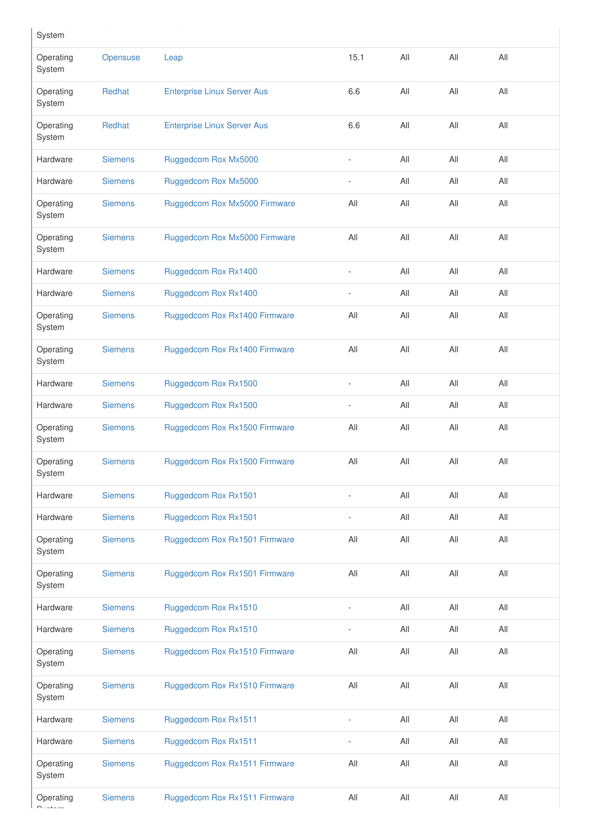| System              |                |                                    |                          |     |     |     |
|---------------------|----------------|------------------------------------|--------------------------|-----|-----|-----|
| Operating<br>System | Opensuse       | Leap                               | 15.1                     | All | All | All |
| Operating<br>System | Redhat         | <b>Enterprise Linux Server Aus</b> | 6.6                      | All | All | All |
| Operating<br>System | Redhat         | <b>Enterprise Linux Server Aus</b> | 6.6                      | All | All | All |
| Hardware            | <b>Siemens</b> | Ruggedcom Rox Mx5000               |                          | All | All | All |
| Hardware            | <b>Siemens</b> | Ruggedcom Rox Mx5000               | $\overline{\phantom{a}}$ | All | All | All |
| Operating<br>System | <b>Siemens</b> | Ruggedcom Rox Mx5000 Firmware      | All                      | All | All | All |
| Operating<br>System | <b>Siemens</b> | Ruggedcom Rox Mx5000 Firmware      | All                      | All | All | All |
| Hardware            | <b>Siemens</b> | Ruggedcom Rox Rx1400               | ÷                        | All | All | All |
| Hardware            | <b>Siemens</b> | Ruggedcom Rox Rx1400               | $\overline{\phantom{a}}$ | All | All | All |
| Operating<br>System | <b>Siemens</b> | Ruggedcom Rox Rx1400 Firmware      | All                      | All | All | All |
| Operating<br>System | <b>Siemens</b> | Ruggedcom Rox Rx1400 Firmware      | All                      | All | All | All |
| Hardware            | <b>Siemens</b> | Ruggedcom Rox Rx1500               | ÷,                       | All | All | All |
| Hardware            | <b>Siemens</b> | Ruggedcom Rox Rx1500               | $\overline{\phantom{a}}$ | All | All | All |
| Operating<br>System | <b>Siemens</b> | Ruggedcom Rox Rx1500 Firmware      | All                      | All | All | All |
| Operating<br>System | <b>Siemens</b> | Ruggedcom Rox Rx1500 Firmware      | All                      | All | All | All |
| Hardware            | <b>Siemens</b> | Ruggedcom Rox Rx1501               |                          | All | All | All |
| Hardware            | <b>Siemens</b> | Ruggedcom Rox Rx1501               | ÷,                       | All | All | All |
| Operating<br>System | <b>Siemens</b> | Ruggedcom Rox Rx1501 Firmware      | All                      | All | All | All |
| Operating<br>System | <b>Siemens</b> | Ruggedcom Rox Rx1501 Firmware      | All                      | All | All | All |
| Hardware            | <b>Siemens</b> | Ruggedcom Rox Rx1510               |                          | All | All | All |
| Hardware            | <b>Siemens</b> | Ruggedcom Rox Rx1510               | ÷,                       | All | All | All |
| Operating<br>System | <b>Siemens</b> | Ruggedcom Rox Rx1510 Firmware      | All                      | All | All | All |
| Operating<br>System | <b>Siemens</b> | Ruggedcom Rox Rx1510 Firmware      | All                      | All | All | All |
| Hardware            | <b>Siemens</b> | Ruggedcom Rox Rx1511               | ÷,                       | All | All | All |
| Hardware            | <b>Siemens</b> | Ruggedcom Rox Rx1511               | ÷,                       | All | All | All |
| Operating<br>System | <b>Siemens</b> | Ruggedcom Rox Rx1511 Firmware      | All                      | All | All | All |
| Operating           | <b>Siemens</b> | Ruggedcom Rox Rx1511 Firmware      | All                      | All | All | All |

Operating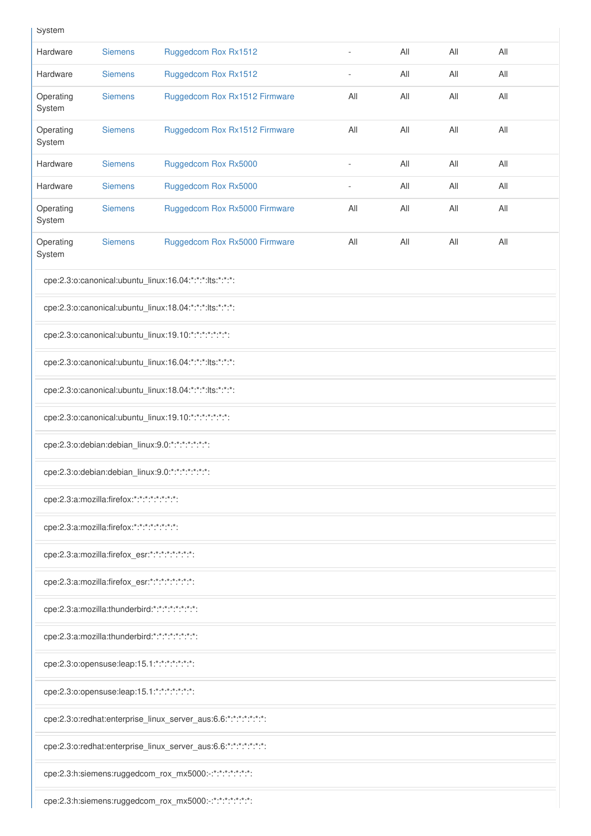|  | ı |
|--|---|

| System                                                |                                                         |                                                                 |                          |     |     |     |  |
|-------------------------------------------------------|---------------------------------------------------------|-----------------------------------------------------------------|--------------------------|-----|-----|-----|--|
| Hardware                                              | <b>Siemens</b>                                          | Ruggedcom Rox Rx1512                                            | $\overline{\phantom{a}}$ | All | All | All |  |
| Hardware                                              | <b>Siemens</b>                                          | Ruggedcom Rox Rx1512                                            | ä,                       | All | All | All |  |
| Operating<br>System                                   | <b>Siemens</b>                                          | Ruggedcom Rox Rx1512 Firmware                                   | All                      | All | All | All |  |
| Operating<br>System                                   | <b>Siemens</b>                                          | Ruggedcom Rox Rx1512 Firmware                                   | All                      | All | All | All |  |
| Hardware                                              | <b>Siemens</b>                                          | Ruggedcom Rox Rx5000                                            |                          | All | All | All |  |
| Hardware                                              | <b>Siemens</b>                                          | Ruggedcom Rox Rx5000                                            |                          | All | All | All |  |
| Operating<br>System                                   | <b>Siemens</b>                                          | Ruggedcom Rox Rx5000 Firmware                                   | All                      | All | All | All |  |
| Operating<br>System                                   | <b>Siemens</b>                                          | Ruggedcom Rox Rx5000 Firmware                                   | All                      | All | All | All |  |
|                                                       |                                                         | cpe:2.3:o:canonical:ubuntu_linux:16.04:*:*:*:lts:*:*:*:         |                          |     |     |     |  |
|                                                       |                                                         | cpe:2.3:o:canonical:ubuntu_linux:18.04:*:*:*:lts:*:*:*:         |                          |     |     |     |  |
|                                                       |                                                         | cpe:2.3:o:canonical:ubuntu_linux:19.10:*:*:*:*:*:*:*:           |                          |     |     |     |  |
|                                                       |                                                         | cpe:2.3:o:canonical:ubuntu_linux:16.04:*:*:*:lts:*:*:*:         |                          |     |     |     |  |
|                                                       | cpe:2.3:o:canonical:ubuntu_linux:18.04:*:*:*:lts:*:*:*: |                                                                 |                          |     |     |     |  |
| cpe:2.3:o:canonical:ubuntu_linux:19.10:*:*:*:*:*:*:*: |                                                         |                                                                 |                          |     |     |     |  |
|                                                       |                                                         | cpe:2.3:o:debian:debian_linux:9.0:*:*:*:*:*:*:*:                |                          |     |     |     |  |
|                                                       | cpe:2.3:o:debian:debian_linux:9.0:*:*:*:*:*:*:*:        |                                                                 |                          |     |     |     |  |
|                                                       | cpe:2.3:a:mozilla:firefox:*:*:*:*:*:*:*:*:              |                                                                 |                          |     |     |     |  |
|                                                       | cpe:2.3:a:mozilla:firefox:*:*:*:*:*:*:*:*:              |                                                                 |                          |     |     |     |  |
|                                                       | cpe:2.3:a:mozilla:firefox_esr:*:*:*:*:*:*:*:*:          |                                                                 |                          |     |     |     |  |
|                                                       | cpe:2.3:a:mozilla:firefox_esr:*:*:*:*:*:*:*:*:          |                                                                 |                          |     |     |     |  |
|                                                       | cpe:2.3:a:mozilla:thunderbird:*:*:*:*:*:*:*:*:          |                                                                 |                          |     |     |     |  |
|                                                       | cpe:2.3:a:mozilla:thunderbird:*:*:*:*:*:*:*:*:          |                                                                 |                          |     |     |     |  |
| cpe:2.3:o:opensuse:leap:15.1:*:*:*:*:*:*:*:           |                                                         |                                                                 |                          |     |     |     |  |
|                                                       | cpe:2.3:o:opensuse:leap:15.1:*:*:*:*:*:*:*:             |                                                                 |                          |     |     |     |  |
|                                                       |                                                         | cpe:2.3:o:redhat:enterprise_linux_server_aus:6.6:*:*:*:*:*:*:*: |                          |     |     |     |  |
|                                                       |                                                         | cpe:2.3:o:redhat:enterprise_linux_server_aus:6.6:*:*:*:*:*:*:*: |                          |     |     |     |  |
|                                                       |                                                         | cpe:2.3:h:siemens:ruggedcom_rox_mx5000:-:*:*:*:*:*:*:*:         |                          |     |     |     |  |
|                                                       |                                                         | cpe:2.3:h:siemens:ruggedcom_rox_mx5000:-:*:*:*:*:*:*:*:         |                          |     |     |     |  |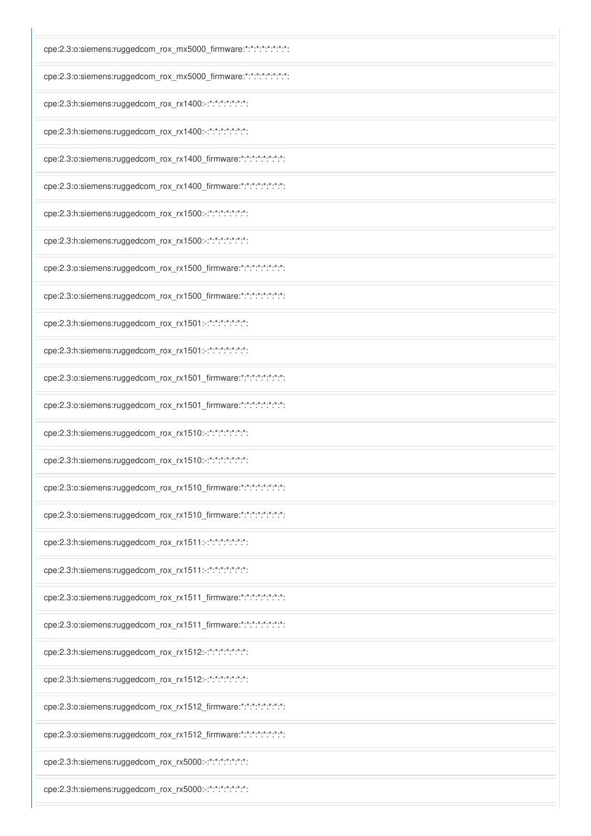| cpe:2.3:o:siemens:ruggedcom_rox_mx5000_firmware:*:*:*:*:*:*:*:*:* |
|-------------------------------------------------------------------|
| cpe:2.3:o:siemens:ruggedcom_rox_mx5000_firmware:*:*:*:*:*:*:*:*:* |
| cpe:2.3:h:siemens:ruggedcom_rox_rx1400:-:*:*:*:*:*:*:*:           |
| cpe:2.3:h:siemens:ruggedcom_rox_rx1400:-:*:*:*:*:*:*:*:           |
| cpe:2.3:o:siemens:ruggedcom_rox_rx1400_firmware:*:*:*:*:*:*:*:*:* |
| cpe:2.3:o:siemens:ruggedcom_rox_rx1400_firmware:*:*:*:*:*:*:*:*:* |
| cpe:2.3:h:siemens:ruggedcom_rox_rx1500:-:*:*:*:*:*:*:*:           |
| cpe:2.3:h:siemens:ruggedcom_rox_rx1500:-:*:*:*:*:*:*:*:           |
| cpe:2.3:o:siemens:ruggedcom_rox_rx1500_firmware:*:*:*:*:*:*:*:*:* |
| cpe:2.3:o:siemens:ruggedcom_rox_rx1500_firmware:*:*:*:*:*:*:*:*:* |
| cpe:2.3:h:siemens:ruggedcom_rox_rx1501:-:*:*:*:*:*:*:*:           |
| cpe:2.3:h:siemens:ruggedcom_rox_rx1501:-:*:*:*:*:*:*:*:           |
| cpe:2.3:o:siemens:ruggedcom_rox_rx1501_firmware:*:*:*:*:*:*:*:*:* |
| cpe:2.3:o:siemens:ruggedcom_rox_rx1501_firmware:*:*:*:*:*:*:*:*:* |
| cpe:2.3:h:siemens:ruggedcom_rox_rx1510:-:*:*:*:*:*:*:*:           |
| cpe:2.3:h:siemens:ruggedcom_rox_rx1510:-:*:*:*:*:*:*:*:           |
| cpe:2.3:o:siemens:ruggedcom_rox_rx1510_firmware:*:*:*:*:*:*:*:*:  |
| cpe:2.3:o:siemens:ruggedcom_rox_rx1510_firmware:*:*:*:*:*:*:*:*:* |
| cpe:2.3:h:siemens:ruggedcom_rox_rx1511:-:*:*:*:*:*:*:*:           |
| cpe:2.3:h:siemens:ruggedcom_rox_rx1511:-:*:*:*:*:*:*:*:*          |
| cpe:2.3:o:siemens:ruggedcom_rox_rx1511_firmware:*:*:*:*:*:*:*:*:* |
| cpe:2.3:o:siemens:ruggedcom_rox_rx1511_firmware:*:*:*:*:*:*:*:*:* |
| cpe:2.3:h:siemens:ruggedcom_rox_rx1512:-:*:*:*:*:*:*:*:           |

cpe:2.3:h:siemens:ruggedcom\_rox\_rx1512:-:\*:\*:\*:\*:\*:\*:\*:

cpe:2.3:o:siemens:ruggedcom\_rox\_rx1512\_firmware:\*:\*:\*:\*:\*:\*:\*:\*:\*:

cpe:2.3:o:siemens:ruggedcom\_rox\_rx1512\_firmware:\*:\*:\*:\*:\*:\*:\*:\*:

cpe:2.3:h:siemens:ruggedcom\_rox\_rx5000:-:\*:\*:\*:\*:\*:\*:\*:

cpe:2.3:h:siemens:ruggedcom\_rox\_rx5000:-:\*:\*:\*:\*:\*:\*:\*: